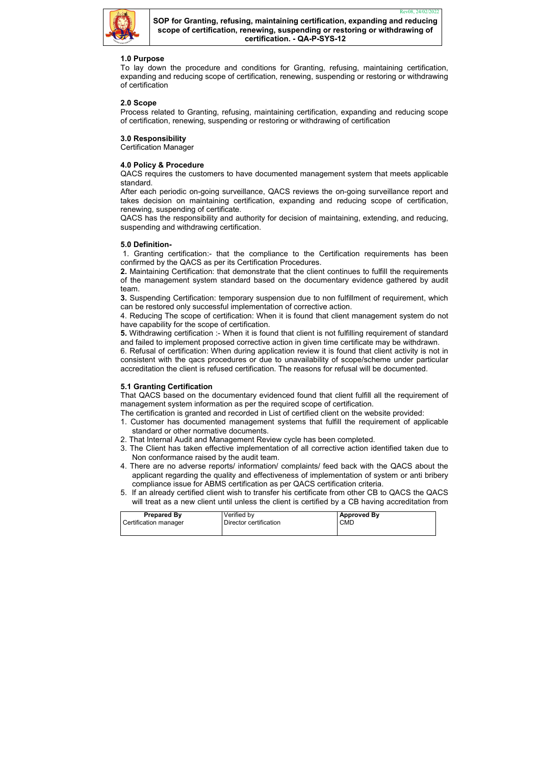

| <b>Prepared By</b>    | Verified by            | <b>Approved By</b> |
|-----------------------|------------------------|--------------------|
| Certification manager | Director certification | <b>CMD</b>         |
|                       |                        |                    |

# 1.0 Purpose

To lay down the procedure and conditions for Granting, refusing, maintaining certification, expanding and reducing scope of certification, renewing, suspending or restoring or withdrawing of certification

## 2.0 Scope

Process related to Granting, refusing, maintaining certification, expanding and reducing scope of certification, renewing, suspending or restoring or withdrawing of certification

## 3.0 Responsibility

Certification Manager

## 4.0 Policy & Procedure

QACS requires the customers to have documented management system that meets applicable standard.

After each periodic on-going surveillance, QACS reviews the on-going surveillance report and takes decision on maintaining certification, expanding and reducing scope of certification, renewing, suspending of certificate.

QACS has the responsibility and authority for decision of maintaining, extending, and reducing, suspending and withdrawing certification.

## 5.0 Definition-

 1. Granting certification:- that the compliance to the Certification requirements has been confirmed by the QACS as per its Certification Procedures.

- 1. Customer has documented management systems that fulfill the requirement of applicable standard or other normative documents.
- 2. That Internal Audit and Management Review cycle has been completed.
- 3. The Client has taken effective implementation of all corrective action identified taken due to Non conformance raised by the audit team.
- 4. There are no adverse reports/ information/ complaints/ feed back with the QACS about the applicant regarding the quality and effectiveness of implementation of system or anti bribery compliance issue for ABMS certification as per QACS certification criteria.
- 5. If an already certified client wish to transfer his certificate from other CB to QACS the QACS will treat as a new client until unless the client is certified by a CB having accreditation from

2. Maintaining Certification: that demonstrate that the client continues to fulfill the requirements of the management system standard based on the documentary evidence gathered by audit team.

3. Suspending Certification: temporary suspension due to non fulfillment of requirement, which can be restored only successful implementation of corrective action.

4. Reducing The scope of certification: When it is found that client management system do not have capability for the scope of certification.

5. Withdrawing certification :- When it is found that client is not fulfilling requirement of standard and failed to implement proposed corrective action in given time certificate may be withdrawn.

6. Refusal of certification: When during application review it is found that client activity is not in consistent with the qacs procedures or due to unavailability of scope/scheme under particular accreditation the client is refused certification. The reasons for refusal will be documented.

# 5.1 Granting Certification

That QACS based on the documentary evidenced found that client fulfill all the requirement of management system information as per the required scope of certification.

The certification is granted and recorded in List of certified client on the website provided: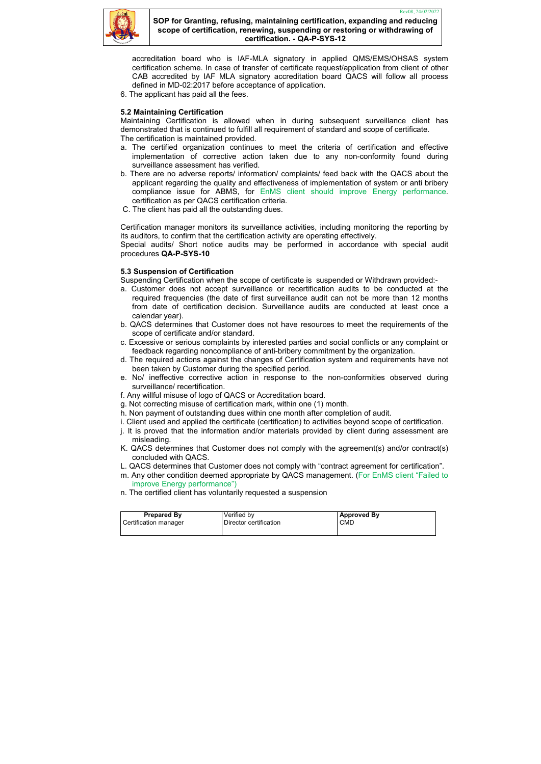

| <b>Prepared By</b>    | Verified by            | Approved By |
|-----------------------|------------------------|-------------|
| Certification manager | Director certification | <b>CMD</b>  |
|                       |                        |             |

accreditation board who is IAF-MLA signatory in applied QMS/EMS/OHSAS system certification scheme. In case of transfer of certificate request/application from client of other CAB accredited by IAF MLA signatory accreditation board QACS will follow all process defined in MD-02:2017 before acceptance of application.

6. The applicant has paid all the fees.

### 5.2 Maintaining Certification

Maintaining Certification is allowed when in during subsequent surveillance client has demonstrated that is continued to fulfill all requirement of standard and scope of certificate.

The certification is maintained provided.

- a. The certified organization continues to meet the criteria of certification and effective implementation of corrective action taken due to any non-conformity found during surveillance assessment has verified.
- b. There are no adverse reports/ information/ complaints/ feed back with the QACS about the applicant regarding the quality and effectiveness of implementation of system or anti bribery compliance issue for ABMS, for EnMS client should improve Energy performance. certification as per QACS certification criteria.
- C. The client has paid all the outstanding dues.

Certification manager monitors its surveillance activities, including monitoring the reporting by its auditors, to confirm that the certification activity are operating effectively.

Special audits/ Short notice audits may be performed in accordance with special audit procedures QA-P-SYS-10

### 5.3 Suspension of Certification

Suspending Certification when the scope of certificate is suspended or Withdrawn provided:-

- a. Customer does not accept surveillance or recertification audits to be conducted at the required frequencies (the date of first surveillance audit can not be more than 12 months from date of certification decision. Surveillance audits are conducted at least once a calendar year).
- b. QACS determines that Customer does not have resources to meet the requirements of the scope of certificate and/or standard.
- c. Excessive or serious complaints by interested parties and social conflicts or any complaint or feedback regarding noncompliance of anti-bribery commitment by the organization.
- d. The required actions against the changes of Certification system and requirements have not been taken by Customer during the specified period.
- e. No/ ineffective corrective action in response to the non-conformities observed during surveillance/ recertification.
- f. Any willful misuse of logo of QACS or Accreditation board.
- g. Not correcting misuse of certification mark, within one (1) month.
- h. Non payment of outstanding dues within one month after completion of audit.
- i. Client used and applied the certificate (certification) to activities beyond scope of certification.
- j. It is proved that the information and/or materials provided by client during assessment are misleading.
- K. QACS determines that Customer does not comply with the agreement(s) and/or contract(s) concluded with QACS.
- L. QACS determines that Customer does not comply with "contract agreement for certification".
- m. Any other condition deemed appropriate by QACS management. (For EnMS client "Failed to improve Energy performance")
- n. The certified client has voluntarily requested a suspension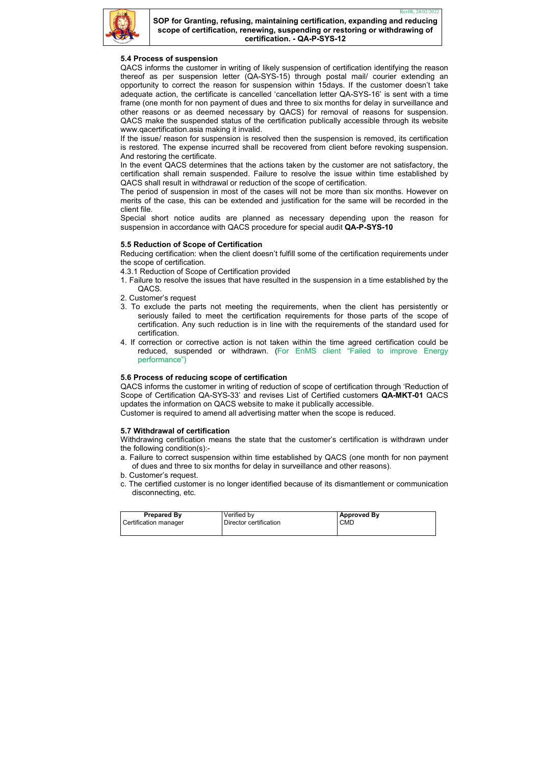

| <b>Prepared By</b>    | Verified by            | <b>Approved By</b> |
|-----------------------|------------------------|--------------------|
| Certification manager | Director certification | <b>CMD</b>         |
|                       |                        |                    |

# 5.4 Process of suspension

QACS informs the customer in writing of likely suspension of certification identifying the reason thereof as per suspension letter (QA-SYS-15) through postal mail/ courier extending an opportunity to correct the reason for suspension within 15days. If the customer doesn't take adequate action, the certificate is cancelled 'cancellation letter QA-SYS-16' is sent with a time frame (one month for non payment of dues and three to six months for delay in surveillance and other reasons or as deemed necessary by QACS) for removal of reasons for suspension. QACS make the suspended status of the certification publically accessible through its website www.qacertification.asia making it invalid.

If the issue/ reason for suspension is resolved then the suspension is removed, its certification is restored. The expense incurred shall be recovered from client before revoking suspension. And restoring the certificate.

In the event QACS determines that the actions taken by the customer are not satisfactory, the certification shall remain suspended. Failure to resolve the issue within time established by QACS shall result in withdrawal or reduction of the scope of certification.

The period of suspension in most of the cases will not be more than six months. However on merits of the case, this can be extended and justification for the same will be recorded in the client file.

Special short notice audits are planned as necessary depending upon the reason for suspension in accordance with QACS procedure for special audit QA-P-SYS-10

# 5.5 Reduction of Scope of Certification

Reducing certification: when the client doesn't fulfill some of the certification requirements under the scope of certification.

- 4.3.1 Reduction of Scope of Certification provided
- 1. Failure to resolve the issues that have resulted in the suspension in a time established by the QACS.
- 2. Customer's request
- 3. To exclude the parts not meeting the requirements, when the client has persistently or seriously failed to meet the certification requirements for those parts of the scope of certification. Any such reduction is in line with the requirements of the standard used for certification.
- 4. If correction or corrective action is not taken within the time agreed certification could be reduced, suspended or withdrawn. (For EnMS client "Failed to improve Energy performance")

### 5.6 Process of reducing scope of certification

QACS informs the customer in writing of reduction of scope of certification through 'Reduction of Scope of Certification QA-SYS-33' and revises List of Certified customers QA-MKT-01 QACS updates the information on QACS website to make it publically accessible.

Customer is required to amend all advertising matter when the scope is reduced.

### 5.7 Withdrawal of certification

Withdrawing certification means the state that the customer's certification is withdrawn under the following condition(s):-

- a. Failure to correct suspension within time established by QACS (one month for non payment of dues and three to six months for delay in surveillance and other reasons).
- b. Customer's request.
- c. The certified customer is no longer identified because of its dismantlement or communication disconnecting, etc.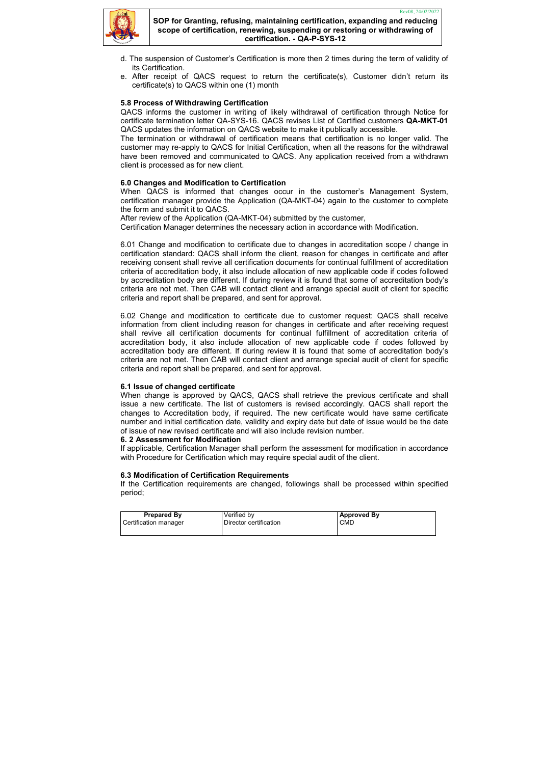

| <b>Prepared By</b>    | Verified by            | <b>Approved By</b> |
|-----------------------|------------------------|--------------------|
| Certification manager | Director certification | <b>CMD</b>         |
|                       |                        |                    |

- d. The suspension of Customer's Certification is more then 2 times during the term of validity of its Certification.
- e. After receipt of QACS request to return the certificate(s), Customer didn't return its certificate(s) to QACS within one (1) month

## 5.8 Process of Withdrawing Certification

QACS informs the customer in writing of likely withdrawal of certification through Notice for certificate termination letter QA-SYS-16. QACS revises List of Certified customers QA-MKT-01 QACS updates the information on QACS website to make it publically accessible.

The termination or withdrawal of certification means that certification is no longer valid. The customer may re-apply to QACS for Initial Certification, when all the reasons for the withdrawal have been removed and communicated to QACS. Any application received from a withdrawn client is processed as for new client.

## 6.0 Changes and Modification to Certification

When QACS is informed that changes occur in the customer's Management System, certification manager provide the Application (QA-MKT-04) again to the customer to complete the form and submit it to QACS.

After review of the Application (QA-MKT-04) submitted by the customer,

Certification Manager determines the necessary action in accordance with Modification.

6.01 Change and modification to certificate due to changes in accreditation scope / change in certification standard: QACS shall inform the client, reason for changes in certificate and after receiving consent shall revive all certification documents for continual fulfillment of accreditation criteria of accreditation body, it also include allocation of new applicable code if codes followed by accreditation body are different. If during review it is found that some of accreditation body's criteria are not met. Then CAB will contact client and arrange special audit of client for specific criteria and report shall be prepared, and sent for approval.

6.02 Change and modification to certificate due to customer request: QACS shall receive information from client including reason for changes in certificate and after receiving request shall revive all certification documents for continual fulfillment of accreditation criteria of accreditation body, it also include allocation of new applicable code if codes followed by accreditation body are different. If during review it is found that some of accreditation body's criteria are not met. Then CAB will contact client and arrange special audit of client for specific criteria and report shall be prepared, and sent for approval.

### 6.1 Issue of changed certificate

When change is approved by QACS, QACS shall retrieve the previous certificate and shall issue a new certificate. The list of customers is revised accordingly. QACS shall report the changes to Accreditation body, if required. The new certificate would have same certificate number and initial certification date, validity and expiry date but date of issue would be the date of issue of new revised certificate and will also include revision number.

#### 6. 2 Assessment for Modification

If applicable, Certification Manager shall perform the assessment for modification in accordance with Procedure for Certification which may require special audit of the client.

### 6.3 Modification of Certification Requirements

If the Certification requirements are changed, followings shall be processed within specified period;